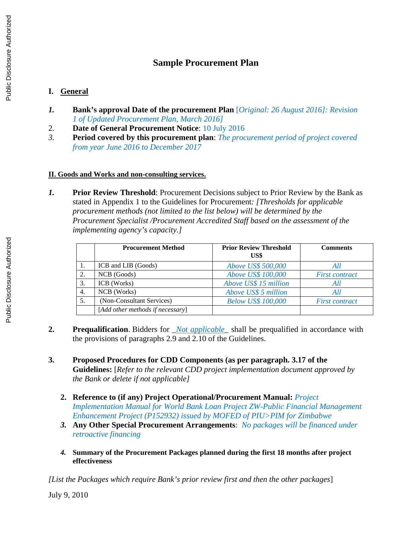## **Sample Procurement Plan**

## **I. General**

- *1.* **Bank's approval Date of the procurement Plan** [*Original: 26 August 2016]: Revision 1 of Updated Procurement Plan, March 2016]*
- 2. **Date of General Procurement Notice**: 10 July 2016
- *3.* **Period covered by this procurement plan**: *The procurement period of project covered from year June 2016 to December 2017*

## **II. Goods and Works and non-consulting services.**

*1.* **Prior Review Threshold**: Procurement Decisions subject to Prior Review by the Bank as stated in Appendix 1 to the Guidelines for Procurement*: [Thresholds for applicable procurement methods (not limited to the list below) will be determined by the Procurement Specialist /Procurement Accredited Staff based on the assessment of the implementing agency's capacity.]* 

|    | <b>Procurement Method</b>        | <b>Prior Review Threshold</b><br>US\$ | <b>Comments</b>       |
|----|----------------------------------|---------------------------------------|-----------------------|
| 1. | ICB and LIB (Goods)              | Above US\$ 500,000                    | All                   |
| 2. | NCB (Goods)                      | Above US\$ 100,000                    | <b>First contract</b> |
| З. | ICB (Works)                      | Above US\$ 15 million                 | All                   |
| 4. | NCB (Works)                      | Above US\$ 5 million                  | All                   |
| 5. | (Non-Consultant Services)        | <b>Below US\$ 100,000</b>             | <b>First contract</b> |
|    | [Add other methods if necessary] |                                       |                       |

- **2. Prequalification**. Bidders for \_*Not applicable\_* shall be prequalified in accordance with the provisions of paragraphs 2.9 and 2.10 of the Guidelines.
- **3. Proposed Procedures for CDD Components (as per paragraph. 3.17 of the Guidelines:** [*Refer to the relevant CDD project implementation document approved by the Bank or delete if not applicable]*
	- **2. Reference to (if any) Project Operational/Procurement Manual:** *Project Implementation Manual for World Bank Loan Project ZW-Public Financial Management Enhancement Project (P152932) issued by MOFED of PIU>PIM for Zimbabwe*
	- *3.* **Any Other Special Procurement Arrangements**: *No packages will be financed under retroactive financing*
	- *4.* **Summary of the Procurement Packages planned during the first 18 months after project effectiveness**

*[List the Packages which require Bank's prior review first and then the other packages*]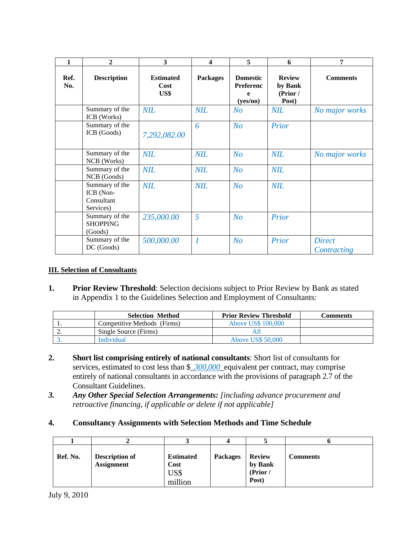| 1           | $\overline{2}$                                         | 3                                | $\boldsymbol{4}$ | 5                                             | 6                                             | 7                            |
|-------------|--------------------------------------------------------|----------------------------------|------------------|-----------------------------------------------|-----------------------------------------------|------------------------------|
| Ref.<br>No. | <b>Description</b>                                     | <b>Estimated</b><br>Cost<br>US\$ | <b>Packages</b>  | <b>Domestic</b><br>Preferenc<br>e<br>(yes/no) | <b>Review</b><br>by Bank<br>(Prior /<br>Post) | <b>Comments</b>              |
|             | Summary of the<br>ICB (Works)                          | <b>NIL</b>                       | <b>NIL</b>       | N <sub>O</sub>                                | <b>NIL</b>                                    | No major works               |
|             | Summary of the<br>ICB (Goods)                          | 7,292,082.00                     | 6                | N <sub>O</sub>                                | Prior                                         |                              |
|             | Summary of the<br>NCB (Works)                          | <b>NIL</b>                       | <b>NIL</b>       | N <sub>O</sub>                                | <b>NIL</b>                                    | No major works               |
|             | Summary of the<br>NCB (Goods)                          | <b>NIL</b>                       | <b>NIL</b>       | N <sub>O</sub>                                | <b>NIL</b>                                    |                              |
|             | Summary of the<br>ICB (Non-<br>Consultant<br>Services) | <b>NIL</b>                       | <b>NIL</b>       | N <sub>O</sub>                                | <b>NIL</b>                                    |                              |
|             | Summary of the<br><b>SHOPPING</b><br>(Goods)           | 235,000.00                       | 5                | N <sub>O</sub>                                | Prior                                         |                              |
|             | Summary of the<br>DC (Goods)                           | 500,000.00                       | $\overline{1}$   | N <sub>O</sub>                                | Prior                                         | <b>Direct</b><br>Contracting |

## **III. Selection of Consultants**

**1. Prior Review Threshold**: Selection decisions subject to Prior Review by Bank as stated in Appendix 1 to the Guidelines Selection and Employment of Consultants:

|          | <b>Selection Method</b>     | <b>Prior Review Threshold</b> | <b>Comments</b> |
|----------|-----------------------------|-------------------------------|-----------------|
| <b>.</b> | Competitive Methods (Firms) | Above US\$ 100,000            |                 |
| <u>.</u> | Single Source (Firms)       |                               |                 |
|          | Individual                  | <b>Above US\$ 50,000</b>      |                 |

- **2. Short list comprising entirely of national consultants**: Short list of consultants for services, estimated to cost less than \$\_*300,000*\_equivalent per contract, may comprise entirely of national consultants in accordance with the provisions of paragraph 2.7 of the Consultant Guidelines.
- *3. Any Other Special Selection Arrangements: [including advance procurement and retroactive financing, if applicable or delete if not applicable]*
- **4. Consultancy Assignments with Selection Methods and Time Schedule**

| Ref. No. | <b>Description of</b><br><b>Assignment</b> | <b>Estimated</b><br>Cost<br>US\$<br>million | <b>Packages</b> | <b>Review</b><br>by Bank<br>(Prior /<br>Post) | Comments |
|----------|--------------------------------------------|---------------------------------------------|-----------------|-----------------------------------------------|----------|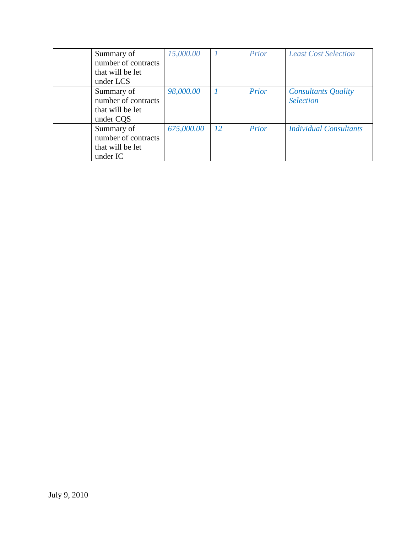| Summary of          | 15,000.00  |               | Prior | <b>Least Cost Selection</b>   |
|---------------------|------------|---------------|-------|-------------------------------|
| number of contracts |            |               |       |                               |
| that will be let    |            |               |       |                               |
| under LCS           |            |               |       |                               |
| Summary of          | 98,000.00  | $\mathbf{1}$  | Prior | <b>Consultants Quality</b>    |
| number of contracts |            |               |       | <b>Selection</b>              |
| that will be let    |            |               |       |                               |
| under CQS           |            |               |       |                               |
| Summary of          | 675,000.00 | <sup>12</sup> | Prior | <b>Individual Consultants</b> |
| number of contracts |            |               |       |                               |
| that will be let    |            |               |       |                               |
| under IC            |            |               |       |                               |